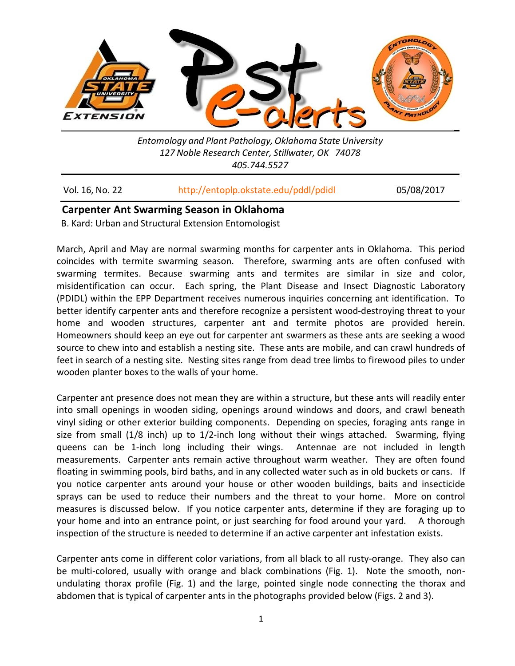

*Entomology and Plant Pathology, Oklahoma State University 127 Noble Research Center, Stillwater, OK 74078 405.744.5527*

| Vol. 16, No. 22 | http://entoplp.okstate.edu/pddl/pdidl | 05/08/2017 |
|-----------------|---------------------------------------|------------|
|-----------------|---------------------------------------|------------|

# **Carpenter Ant Swarming Season in Oklahoma**

B. Kard: Urban and Structural Extension Entomologist

March, April and May are normal swarming months for carpenter ants in Oklahoma. This period coincides with termite swarming season. Therefore, swarming ants are often confused with swarming termites. Because swarming ants and termites are similar in size and color, misidentification can occur. Each spring, the Plant Disease and Insect Diagnostic Laboratory (PDIDL) within the EPP Department receives numerous inquiries concerning ant identification. To better identify carpenter ants and therefore recognize a persistent wood-destroying threat to your home and wooden structures, carpenter ant and termite photos are provided herein. Homeowners should keep an eye out for carpenter ant swarmers as these ants are seeking a wood source to chew into and establish a nesting site. These ants are mobile, and can crawl hundreds of feet in search of a nesting site. Nesting sites range from dead tree limbs to firewood piles to under wooden planter boxes to the walls of your home.

Carpenter ant presence does not mean they are within a structure, but these ants will readily enter into small openings in wooden siding, openings around windows and doors, and crawl beneath vinyl siding or other exterior building components. Depending on species, foraging ants range in size from small (1/8 inch) up to 1/2-inch long without their wings attached. Swarming, flying queens can be 1-inch long including their wings. Antennae are not included in length measurements. Carpenter ants remain active throughout warm weather. They are often found floating in swimming pools, bird baths, and in any collected water such as in old buckets or cans. If you notice carpenter ants around your house or other wooden buildings, baits and insecticide sprays can be used to reduce their numbers and the threat to your home. More on control measures is discussed below. If you notice carpenter ants, determine if they are foraging up to your home and into an entrance point, or just searching for food around your yard. A thorough inspection of the structure is needed to determine if an active carpenter ant infestation exists.

Carpenter ants come in different color variations, from all black to all rusty-orange. They also can be multi-colored, usually with orange and black combinations (Fig. 1). Note the smooth, nonundulating thorax profile (Fig. 1) and the large, pointed single node connecting the thorax and abdomen that is typical of carpenter ants in the photographs provided below (Figs. 2 and 3).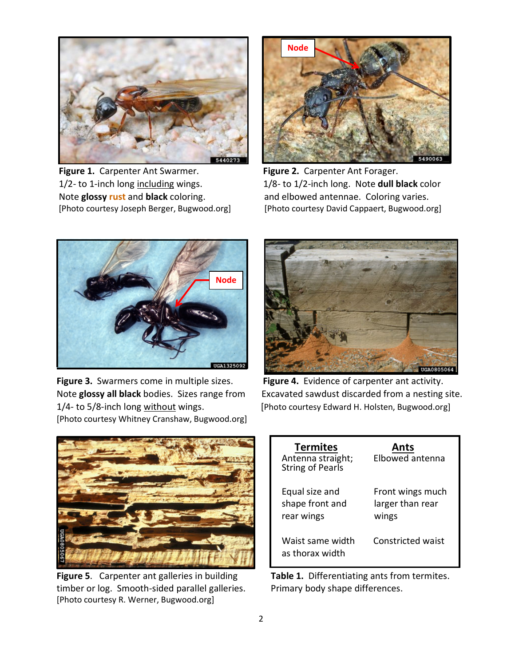

**Figure 1.** Carpenter Ant Swarmer. **Figure 2.** Carpenter Ant Forager. Note **glossy rust** and **black** coloring. and elbowed antennae. Coloring varies.



1/2- to 1-inch long including wings. 1/8- to 1/2-inch long. Note **dull black** color [Photo courtesy Joseph Berger, Bugwood.org] [Photo courtesy David Cappaert, Bugwood.org]



**Figure 3.** Swarmers come in multiple sizes. **Figure 4.** Evidence of carpenter ant activity. 1/4- to 5/8-inch long without wings. [Photo courtesy Edward H. Holsten, Bugwood.org] [Photo courtesy Whitney Cranshaw, Bugwood.org]



Note **glossy all black** bodies. Sizes range from Excavated sawdust discarded from a nesting site.



**Figure 5**. Carpenter ant galleries in building **Table 1.** Differentiating ants from termites. timber or log. Smooth-sided parallel galleries. Primary body shape differences. [Photo courtesy R. Werner, Bugwood.org]

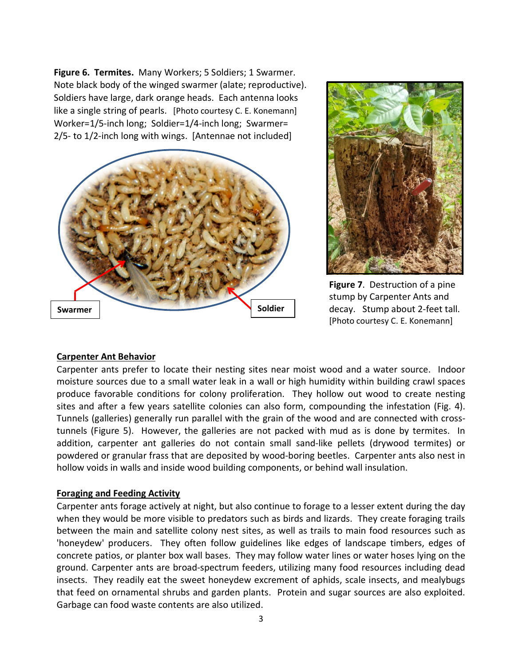**Figure 6. Termites.** Many Workers; 5 Soldiers; 1 Swarmer. Note black body of the winged swarmer (alate; reproductive). Soldiers have large, dark orange heads. Each antenna looks like a single string of pearls. [Photo courtesy C. E. Konemann] Worker=1/5-inch long; Soldier=1/4-inch long; Swarmer= 2/5- to 1/2-inch long with wings. [Antennae not included]





**Figure 7**. Destruction of a pine stump by Carpenter Ants and decay. Stump about 2-feet tall. [Photo courtesy C. E. Konemann]

# **Carpenter Ant Behavior**

Carpenter ants prefer to locate their nesting sites near moist wood and a water source. Indoor moisture sources due to a small water leak in a wall or high humidity within building crawl spaces produce favorable conditions for colony proliferation. They hollow out wood to create nesting sites and after a few years satellite colonies can also form, compounding the infestation (Fig. 4). Tunnels (galleries) generally run parallel with the grain of the wood and are connected with crosstunnels (Figure 5). However, the galleries are not packed with mud as is done by termites. In addition, carpenter ant galleries do not contain small sand-like pellets (drywood termites) or powdered or granular frass that are deposited by wood-boring beetles. Carpenter ants also nest in hollow voids in walls and inside wood building components, or behind wall insulation.

#### **Foraging and Feeding Activity**

Carpenter ants forage actively at night, but also continue to forage to a lesser extent during the day when they would be more visible to predators such as birds and lizards. They create foraging trails between the main and satellite colony nest sites, as well as trails to main food resources such as 'honeydew' producers. They often follow guidelines like edges of landscape timbers, edges of concrete patios, or planter box wall bases. They may follow water lines or water hoses lying on the ground. Carpenter ants are broad-spectrum feeders, utilizing many food resources including dead insects. They readily eat the sweet honeydew excrement of aphids, scale insects, and mealybugs that feed on ornamental shrubs and garden plants. Protein and sugar sources are also exploited. Garbage can food waste contents are also utilized.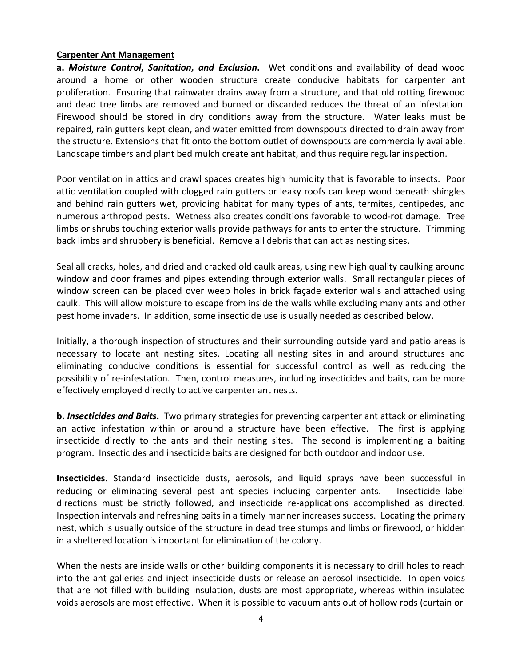### **Carpenter Ant Management**

**a.** *Moisture Control***,** *Sanitation***,** *and Exclusion***.** Wet conditions and availability of dead wood around a home or other wooden structure create conducive habitats for carpenter ant proliferation. Ensuring that rainwater drains away from a structure, and that old rotting firewood and dead tree limbs are removed and burned or discarded reduces the threat of an infestation. Firewood should be stored in dry conditions away from the structure. Water leaks must be repaired, rain gutters kept clean, and water emitted from downspouts directed to drain away from the structure. Extensions that fit onto the bottom outlet of downspouts are commercially available. Landscape timbers and plant bed mulch create ant habitat, and thus require regular inspection.

Poor ventilation in attics and crawl spaces creates high humidity that is favorable to insects. Poor attic ventilation coupled with clogged rain gutters or leaky roofs can keep wood beneath shingles and behind rain gutters wet, providing habitat for many types of ants, termites, centipedes, and numerous arthropod pests. Wetness also creates conditions favorable to wood-rot damage. Tree limbs or shrubs touching exterior walls provide pathways for ants to enter the structure. Trimming back limbs and shrubbery is beneficial. Remove all debris that can act as nesting sites.

Seal all cracks, holes, and dried and cracked old caulk areas, using new high quality caulking around window and door frames and pipes extending through exterior walls. Small rectangular pieces of window screen can be placed over weep holes in brick façade exterior walls and attached using caulk. This will allow moisture to escape from inside the walls while excluding many ants and other pest home invaders. In addition, some insecticide use is usually needed as described below.

Initially, a thorough inspection of structures and their surrounding outside yard and patio areas is necessary to locate ant nesting sites. Locating all nesting sites in and around structures and eliminating conducive conditions is essential for successful control as well as reducing the possibility of re-infestation. Then, control measures, including insecticides and baits, can be more effectively employed directly to active carpenter ant nests.

**b.** *Insecticides and Baits***.** Two primary strategies for preventing carpenter ant attack or eliminating an active infestation within or around a structure have been effective. The first is applying insecticide directly to the ants and their nesting sites. The second is implementing a baiting program. Insecticides and insecticide baits are designed for both outdoor and indoor use.

**Insecticides.** Standard insecticide dusts, aerosols, and liquid sprays have been successful in reducing or eliminating several pest ant species including carpenter ants. Insecticide label directions must be strictly followed, and insecticide re-applications accomplished as directed. Inspection intervals and refreshing baits in a timely manner increases success. Locating the primary nest, which is usually outside of the structure in dead tree stumps and limbs or firewood, or hidden in a sheltered location is important for elimination of the colony.

When the nests are inside walls or other building components it is necessary to drill holes to reach into the ant galleries and inject insecticide dusts or release an aerosol insecticide. In open voids that are not filled with building insulation, dusts are most appropriate, whereas within insulated voids aerosols are most effective. When it is possible to vacuum ants out of hollow rods (curtain or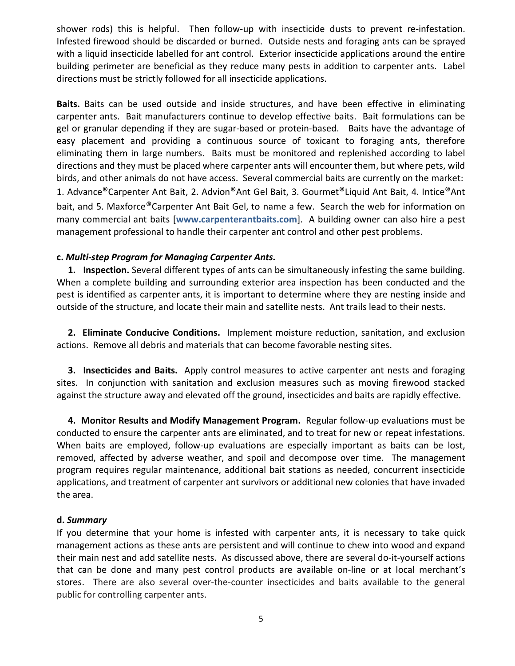shower rods) this is helpful. Then follow-up with insecticide dusts to prevent re-infestation. Infested firewood should be discarded or burned. Outside nests and foraging ants can be sprayed with a liquid insecticide labelled for ant control. Exterior insecticide applications around the entire building perimeter are beneficial as they reduce many pests in addition to carpenter ants. Label directions must be strictly followed for all insecticide applications.

**Baits.** Baits can be used outside and inside structures, and have been effective in eliminating carpenter ants. Bait manufacturers continue to develop effective baits. Bait formulations can be gel or granular depending if they are sugar-based or protein-based. Baits have the advantage of easy placement and providing a continuous source of toxicant to foraging ants, therefore eliminating them in large numbers. Baits must be monitored and replenished according to label directions and they must be placed where carpenter ants will encounter them, but where pets, wild birds, and other animals do not have access. Several commercial baits are currently on the market: 1. Advance®Carpenter Ant Bait, 2. Advion®Ant Gel Bait, 3. Gourmet®Liquid Ant Bait, 4. Intice®Ant bait, and 5. Maxforce®Carpenter Ant Bait Gel, to name a few. Search the web for information on many commercial ant baits [**www.carpenterantbaits.com**]. A building owner can also hire a pest management professional to handle their carpenter ant control and other pest problems.

# **c.** *Multi-step Program for Managing Carpenter Ants.*

 **1. Inspection.** Several different types of ants can be simultaneously infesting the same building. When a complete building and surrounding exterior area inspection has been conducted and the pest is identified as carpenter ants, it is important to determine where they are nesting inside and outside of the structure, and locate their main and satellite nests. Ant trails lead to their nests.

 **2. Eliminate Conducive Conditions.** Implement moisture reduction, sanitation, and exclusion actions. Remove all debris and materials that can become favorable nesting sites.

 **3. Insecticides and Baits.** Apply control measures to active carpenter ant nests and foraging sites. In conjunction with sanitation and exclusion measures such as moving firewood stacked against the structure away and elevated off the ground, insecticides and baits are rapidly effective.

 **4. Monitor Results and Modify Management Program.** Regular follow-up evaluations must be conducted to ensure the carpenter ants are eliminated, and to treat for new or repeat infestations. When baits are employed, follow-up evaluations are especially important as baits can be lost, removed, affected by adverse weather, and spoil and decompose over time. The management program requires regular maintenance, additional bait stations as needed, concurrent insecticide applications, and treatment of carpenter ant survivors or additional new colonies that have invaded the area.

# **d.** *Summary*

If you determine that your home is infested with carpenter ants, it is necessary to take quick management actions as these ants are persistent and will continue to chew into wood and expand their main nest and add satellite nests. As discussed above, there are several do-it-yourself actions that can be done and many pest control products are available on-line or at local merchant's stores. There are also several over-the-counter insecticides and baits available to the general public for controlling carpenter ants.